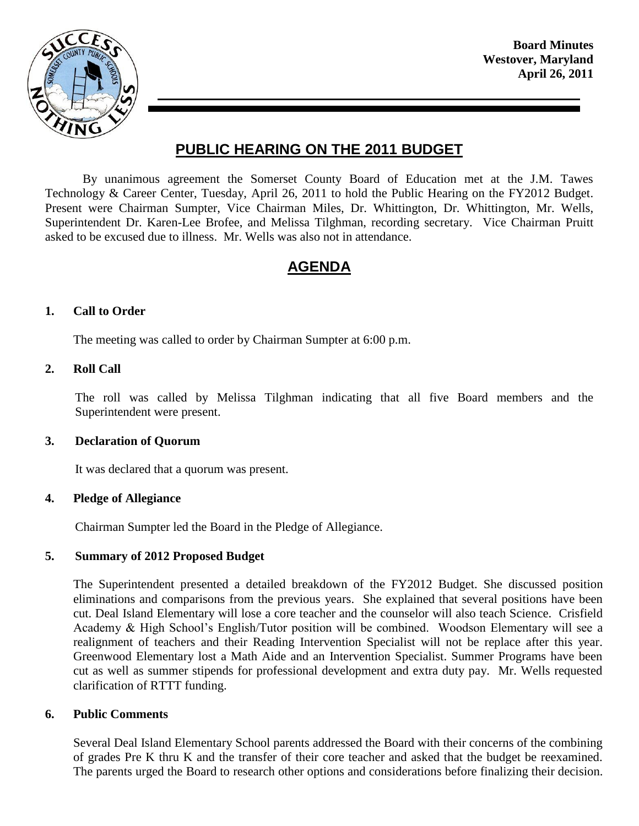

**Board Minutes Westover, Maryland April 26, 2011**

# **PUBLIC HEARING ON THE 2011 BUDGET**

By unanimous agreement the Somerset County Board of Education met at the J.M. Tawes Technology & Career Center, Tuesday, April 26, 2011 to hold the Public Hearing on the FY2012 Budget. Present were Chairman Sumpter, Vice Chairman Miles, Dr. Whittington, Dr. Whittington, Mr. Wells, Superintendent Dr. Karen-Lee Brofee, and Melissa Tilghman, recording secretary. Vice Chairman Pruitt asked to be excused due to illness. Mr. Wells was also not in attendance.

# **AGENDA**

## **1. Call to Order**

The meeting was called to order by Chairman Sumpter at 6:00 p.m.

#### **2. Roll Call**

The roll was called by Melissa Tilghman indicating that all five Board members and the Superintendent were present.

#### **3. Declaration of Quorum**

It was declared that a quorum was present.

#### **4. Pledge of Allegiance**

Chairman Sumpter led the Board in the Pledge of Allegiance.

#### **5. Summary of 2012 Proposed Budget**

The Superintendent presented a detailed breakdown of the FY2012 Budget. She discussed position eliminations and comparisons from the previous years. She explained that several positions have been cut. Deal Island Elementary will lose a core teacher and the counselor will also teach Science. Crisfield Academy & High School's English/Tutor position will be combined. Woodson Elementary will see a realignment of teachers and their Reading Intervention Specialist will not be replace after this year. Greenwood Elementary lost a Math Aide and an Intervention Specialist. Summer Programs have been cut as well as summer stipends for professional development and extra duty pay. Mr. Wells requested clarification of RTTT funding.

#### **6. Public Comments**

Several Deal Island Elementary School parents addressed the Board with their concerns of the combining of grades Pre K thru K and the transfer of their core teacher and asked that the budget be reexamined. The parents urged the Board to research other options and considerations before finalizing their decision.